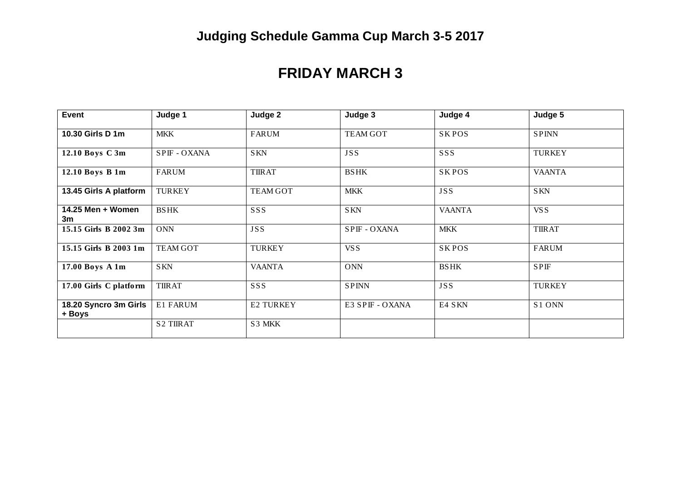# **Judging Schedule Gamma Cup March 3-5 2017**

### **FRIDAY MARCH 3**

| Event                           | Judge 1          | Judge 2         | Judge 3         | Judge 4       | Judge 5            |
|---------------------------------|------------------|-----------------|-----------------|---------------|--------------------|
| 10.30 Girls D 1m                | <b>MKK</b>       | <b>FARUM</b>    | <b>TEAM GOT</b> | <b>SKPOS</b>  | <b>SPINN</b>       |
| 12.10 Boys C 3m                 | SPIF - OXANA     | <b>SKN</b>      | <b>JSS</b>      | SSS           | <b>TURKEY</b>      |
| 12.10 Boys B 1m                 | <b>FARUM</b>     | <b>TIIRAT</b>   | <b>BSHK</b>     | <b>SKPOS</b>  | <b>VAANTA</b>      |
| 13.45 Girls A platform          | <b>TURKEY</b>    | <b>TEAM GOT</b> | <b>MKK</b>      | <b>JSS</b>    | <b>SKN</b>         |
| 14.25 Men + Women<br>3m         | <b>BSHK</b>      | SSS             | <b>SKN</b>      | <b>VAANTA</b> | VS S               |
| 15.15 Girls B 2002 3m           | <b>ONN</b>       | <b>JSS</b>      | SPIF - OXANA    | <b>MKK</b>    | <b>TIIRAT</b>      |
| 15.15 Girls B 2003 1m           | <b>TEAM GOT</b>  | <b>TURKEY</b>   | VS S            | <b>SKPOS</b>  | <b>FARUM</b>       |
| 17.00 Boys A 1m                 | <b>SKN</b>       | <b>VAANTA</b>   | <b>ONN</b>      | <b>BSHK</b>   | <b>SPIF</b>        |
| 17.00 Girls C platform          | <b>TIIRAT</b>    | SSS             | <b>SPINN</b>    | <b>JSS</b>    | <b>TURKEY</b>      |
| 18.20 Syncro 3m Girls<br>+ Boys | E1 FARUM         | E2 TURKEY       | E3 SPIF - OXANA | E4 SKN        | S <sub>1</sub> ONN |
|                                 | <b>S2 TIIRAT</b> | S3 MKK          |                 |               |                    |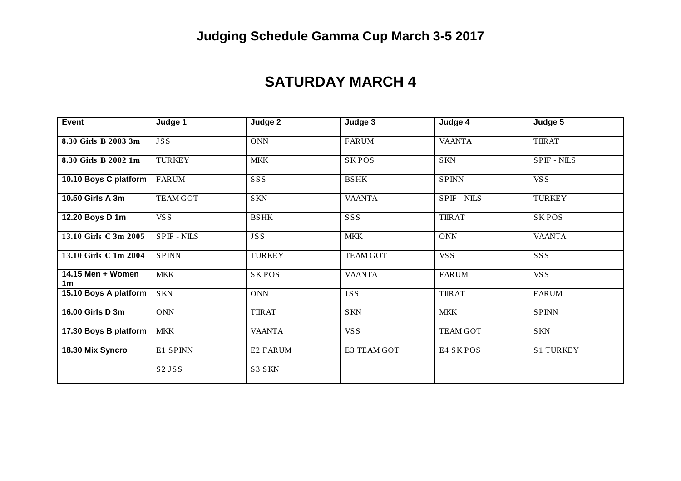## **Judging Schedule Gamma Cup March 3-5 2017**

#### **SATURDAY MARCH 4**

| Event                               | Judge 1                        | Judge 2       | Judge 3         | Judge 4            | Judge 5          |
|-------------------------------------|--------------------------------|---------------|-----------------|--------------------|------------------|
| 8.30 Girls B 2003 3m                | <b>JSS</b>                     | <b>ONN</b>    | <b>FARUM</b>    | <b>VAANTA</b>      | <b>TIIRAT</b>    |
| 8.30 Girls B 2002 1m                | <b>TURKEY</b>                  | <b>MKK</b>    | <b>SKPOS</b>    | <b>SKN</b>         | <b>SPIF-NILS</b> |
| 10.10 Boys C platform               | FARUM                          | SSS           | <b>BSHK</b>     | <b>SPINN</b>       | VS S             |
| 10.50 Girls A 3m                    | <b>TEAM GOT</b>                | <b>SKN</b>    | <b>VAANTA</b>   | <b>SPIF - NILS</b> | <b>TURKEY</b>    |
| 12.20 Boys D 1m                     | VS S                           | <b>BSHK</b>   | SSS             | <b>TIIRAT</b>      | <b>SKPOS</b>     |
| 13.10 Girls C 3m 2005               | <b>SPIF-NILS</b>               | <b>JSS</b>    | <b>MKK</b>      | <b>ONN</b>         | <b>VAANTA</b>    |
| 13.10 Girls C 1m 2004               | <b>SPINN</b>                   | <b>TURKEY</b> | <b>TEAM GOT</b> | VSS                | SSS              |
| 14.15 Men + Women<br>1 <sub>m</sub> | <b>MKK</b>                     | <b>SKPOS</b>  | <b>VAANTA</b>   | <b>FARUM</b>       | VS S             |
| 15.10 Boys A platform               | <b>SKN</b>                     | <b>ONN</b>    | <b>JSS</b>      | <b>TIIRAT</b>      | <b>FARUM</b>     |
| 16.00 Girls D 3m                    | <b>ONN</b>                     | <b>TIIRAT</b> | <b>SKN</b>      | <b>MKK</b>         | <b>SPINN</b>     |
| 17.30 Boys B platform               | <b>MKK</b>                     | <b>VAANTA</b> | VS S            | <b>TEAM GOT</b>    | <b>SKN</b>       |
| 18.30 Mix Syncro                    | E1 SPINN                       | E2 FARUM      | E3 TEAM GOT     | E4 SKPOS           | <b>S1 TURKEY</b> |
|                                     | S <sub>2</sub> JS <sub>S</sub> | S3 SKN        |                 |                    |                  |